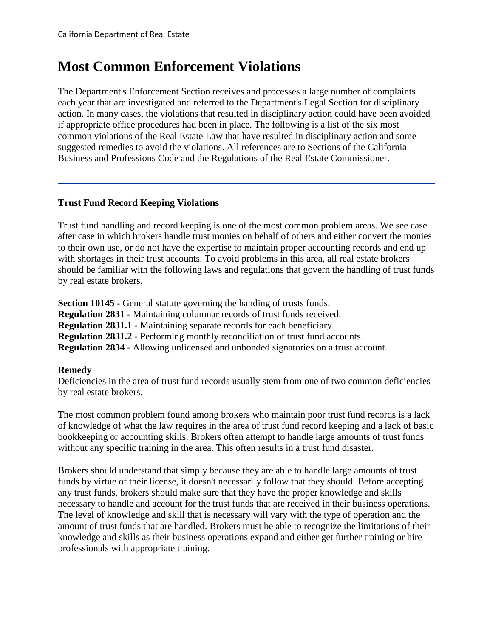# **Most Common Enforcement Violations**

The Department's Enforcement Section receives and processes a large number of complaints each year that are investigated and referred to the Department's Legal Section for disciplinary action. In many cases, the violations that resulted in disciplinary action could have been avoided if appropriate office procedures had been in place. The following is a list of the six most common violations of the Real Estate Law that have resulted in disciplinary action and some suggested remedies to avoid the violations. All references are to Sections of the California Business and Professions Code and the Regulations of the Real Estate Commissioner.

## **Trust Fund Record Keeping Violations**

Trust fund handling and record keeping is one of the most common problem areas. We see case after case in which brokers handle trust monies on behalf of others and either convert the monies to their own use, or do not have the expertise to maintain proper accounting records and end up with shortages in their trust accounts. To avoid problems in this area, all real estate brokers should be familiar with the following laws and regulations that govern the handling of trust funds by real estate brokers.

**Section 10145** - General statute governing the handing of trusts funds. **Regulation 2831** - Maintaining columnar records of trust funds received. **Regulation 2831.1** - Maintaining separate records for each beneficiary. **Regulation 2831.2** - Performing monthly reconciliation of trust fund accounts. **Regulation 2834** - Allowing unlicensed and unbonded signatories on a trust account.

# **Remedy**

Deficiencies in the area of trust fund records usually stem from one of two common deficiencies by real estate brokers.

The most common problem found among brokers who maintain poor trust fund records is a lack of knowledge of what the law requires in the area of trust fund record keeping and a lack of basic bookkeeping or accounting skills. Brokers often attempt to handle large amounts of trust funds without any specific training in the area. This often results in a trust fund disaster.

Brokers should understand that simply because they are able to handle large amounts of trust funds by virtue of their license, it doesn't necessarily follow that they should. Before accepting any trust funds, brokers should make sure that they have the proper knowledge and skills necessary to handle and account for the trust funds that are received in their business operations. The level of knowledge and skill that is necessary will vary with the type of operation and the amount of trust funds that are handled. Brokers must be able to recognize the limitations of their knowledge and skills as their business operations expand and either get further training or hire professionals with appropriate training.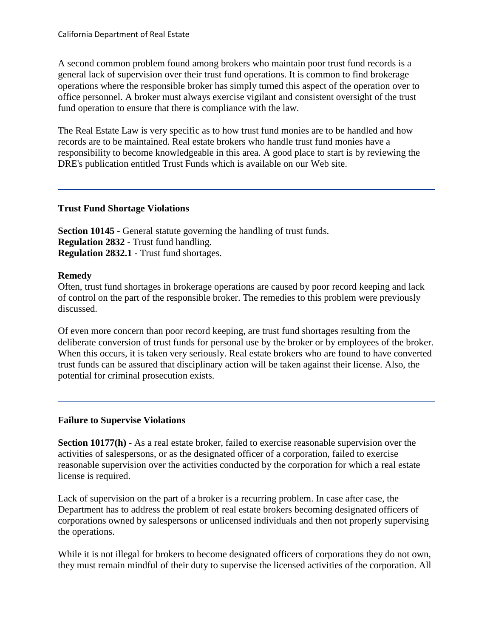A second common problem found among brokers who maintain poor trust fund records is a general lack of supervision over their trust fund operations. It is common to find brokerage operations where the responsible broker has simply turned this aspect of the operation over to office personnel. A broker must always exercise vigilant and consistent oversight of the trust fund operation to ensure that there is compliance with the law.

The Real Estate Law is very specific as to how trust fund monies are to be handled and how records are to be maintained. Real estate brokers who handle trust fund monies have a responsibility to become knowledgeable in this area. A good place to start is by reviewing the DRE's publication entitled Trust Funds which is available on our Web site.

## **Trust Fund Shortage Violations**

**Section 10145** - General statute governing the handling of trust funds. **Regulation 2832** - Trust fund handling. **Regulation 2832.1** - Trust fund shortages.

#### **Remedy**

Often, trust fund shortages in brokerage operations are caused by poor record keeping and lack of control on the part of the responsible broker. The remedies to this problem were previously discussed.

Of even more concern than poor record keeping, are trust fund shortages resulting from the deliberate conversion of trust funds for personal use by the broker or by employees of the broker. When this occurs, it is taken very seriously. Real estate brokers who are found to have converted trust funds can be assured that disciplinary action will be taken against their license. Also, the potential for criminal prosecution exists.

## **Failure to Supervise Violations**

**Section 10177(h)** - As a real estate broker, failed to exercise reasonable supervision over the activities of salespersons, or as the designated officer of a corporation, failed to exercise reasonable supervision over the activities conducted by the corporation for which a real estate license is required.

Lack of supervision on the part of a broker is a recurring problem. In case after case, the Department has to address the problem of real estate brokers becoming designated officers of corporations owned by salespersons or unlicensed individuals and then not properly supervising the operations.

While it is not illegal for brokers to become designated officers of corporations they do not own, they must remain mindful of their duty to supervise the licensed activities of the corporation. All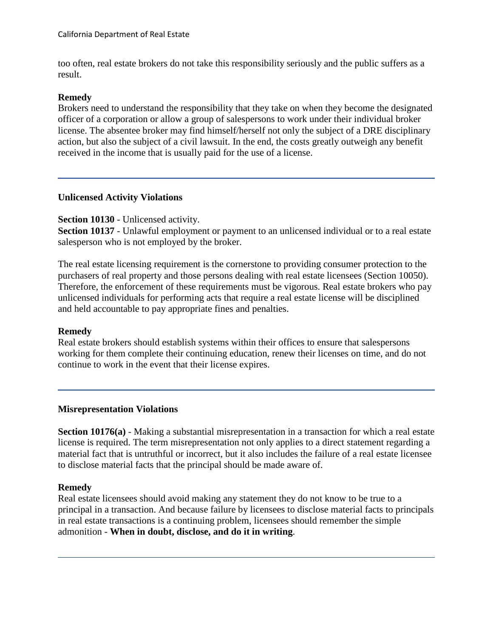too often, real estate brokers do not take this responsibility seriously and the public suffers as a result.

## **Remedy**

Brokers need to understand the responsibility that they take on when they become the designated officer of a corporation or allow a group of salespersons to work under their individual broker license. The absentee broker may find himself/herself not only the subject of a DRE disciplinary action, but also the subject of a civil lawsuit. In the end, the costs greatly outweigh any benefit received in the income that is usually paid for the use of a license.

## **Unlicensed Activity Violations**

## **Section 10130** - Unlicensed activity.

**Section 10137** - Unlawful employment or payment to an unlicensed individual or to a real estate salesperson who is not employed by the broker.

The real estate licensing requirement is the cornerstone to providing consumer protection to the purchasers of real property and those persons dealing with real estate licensees (Section 10050). Therefore, the enforcement of these requirements must be vigorous. Real estate brokers who pay unlicensed individuals for performing acts that require a real estate license will be disciplined and held accountable to pay appropriate fines and penalties.

## **Remedy**

Real estate brokers should establish systems within their offices to ensure that salespersons working for them complete their continuing education, renew their licenses on time, and do not continue to work in the event that their license expires.

## **Misrepresentation Violations**

**Section 10176(a)** - Making a substantial misrepresentation in a transaction for which a real estate license is required. The term misrepresentation not only applies to a direct statement regarding a material fact that is untruthful or incorrect, but it also includes the failure of a real estate licensee to disclose material facts that the principal should be made aware of.

## **Remedy**

Real estate licensees should avoid making any statement they do not know to be true to a principal in a transaction. And because failure by licensees to disclose material facts to principals in real estate transactions is a continuing problem, licensees should remember the simple admonition - **When in doubt, disclose, and do it in writing**.